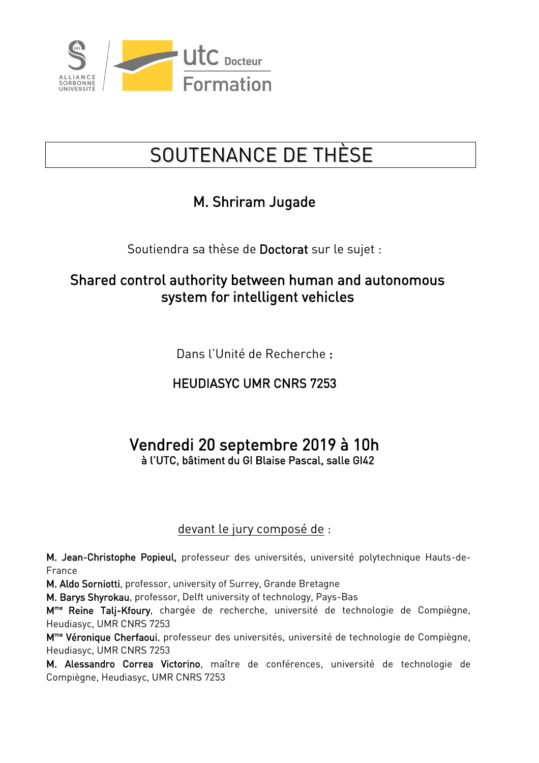

# SOUTENANCE DE THÈSE

## M. Shriram Jugade

Soutiendra sa thèse de Doctorat sur le sujet :

#### Shared control authority between human and autonomous system for intelligent vehicles

Dans l'Unité de Recherche :

### HEUDIASYC UMR CNRS 7253

#### Vendredi 20 septembre 2019 à 10h à l'UTC, bâtiment du GI Blaise Pascal, salle GI42

#### devant le jury composé de :

M. Jean-Christophe Popieul, professeur des universités, université polytechnique Hauts-de-France

M. Aldo Sorniotti, professor, university of Surrey, Grande Bretagne

M. Barys Shyrokau, professor, Delft university of technology, Pays-Bas

M<sup>me</sup> Reine Talj-Kfoury, chargée de recherche, université de technologie de Compiègne, Heudiasyc, UMR CNRS 7253

M<sup>me</sup> Véronique Cherfaoui, professeur des universités, université de technologie de Compiègne, Heudiasyc, UMR CNRS 7253

M. Alessandro Correa Victorino, maître de conférences, université de technologie de Compiègne, Heudiasyc, UMR CNRS 7253